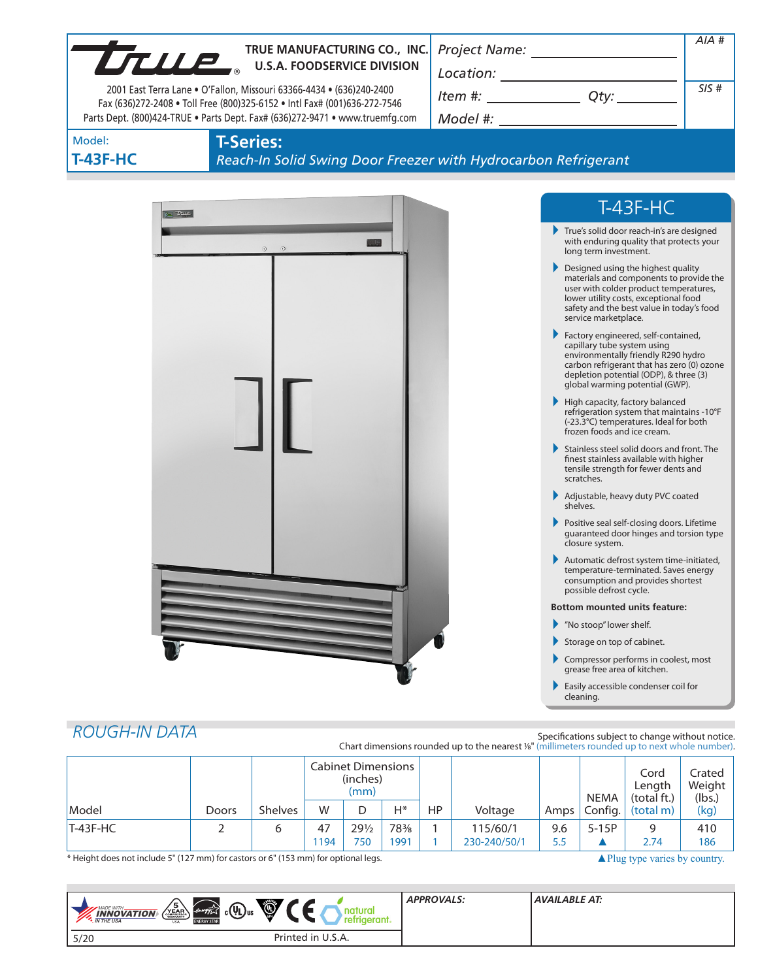| UTILE.               | TRUE MANUFACTURING CO., INC.                                                                                                                      |                                      |                                                                                                                                                                                                                                       | $AIA$ # |
|----------------------|---------------------------------------------------------------------------------------------------------------------------------------------------|--------------------------------------|---------------------------------------------------------------------------------------------------------------------------------------------------------------------------------------------------------------------------------------|---------|
|                      | <b>U.S.A. FOODSERVICE DIVISION</b>                                                                                                                |                                      |                                                                                                                                                                                                                                       |         |
|                      | 2001 East Terra Lane . O'Fallon, Missouri 63366-4434 . (636)240-2400<br>Fax (636)272-2408 . Toll Free (800)325-6152 . Intl Fax# (001)636-272-7546 | $Item #: __________ Qty: __________$ | SIS#                                                                                                                                                                                                                                  |         |
|                      | Parts Dept. (800)424-TRUE . Parts Dept. Fax# (636)272-9471 . www.truemfg.com                                                                      |                                      |                                                                                                                                                                                                                                       |         |
| Model:               | <b>T-Series:</b>                                                                                                                                  |                                      |                                                                                                                                                                                                                                       |         |
| <b>T-43F-HC</b>      | Reach-In Solid Swing Door Freezer with Hydrocarbon Refrigerant                                                                                    |                                      |                                                                                                                                                                                                                                       |         |
|                      |                                                                                                                                                   |                                      |                                                                                                                                                                                                                                       |         |
| $=$ true             |                                                                                                                                                   |                                      | $T-43F-HC$                                                                                                                                                                                                                            |         |
|                      | $\odot$<br>$\odot$                                                                                                                                |                                      | True's solid door reach-in's are designed<br>with enduring quality that protects your<br>long term investment.                                                                                                                        |         |
|                      |                                                                                                                                                   |                                      | Designed using the highest quality<br>materials and components to provide the<br>user with colder product temperatures,<br>lower utility costs, exceptional food<br>safety and the best value in today's food<br>service marketplace. |         |
|                      |                                                                                                                                                   |                                      | Factory engineered, self-contained,<br>capillary tube system using<br>environmentally friendly R290 hydro<br>carbon refrigerant that has zero (0) ozone<br>depletion potential (ODP), & three (3)<br>global warming potential (GWP).  |         |
|                      |                                                                                                                                                   |                                      | ▶<br>High capacity, factory balanced<br>refrigeration system that maintains -10°F<br>(-23.3°C) temperatures. Ideal for both<br>frozen foods and ice cream.                                                                            |         |
|                      |                                                                                                                                                   |                                      | Stainless steel solid doors and front. The<br>finest stainless available with higher<br>tensile strength for fewer dents and<br>scratches.                                                                                            |         |
|                      |                                                                                                                                                   |                                      | Adjustable, heavy duty PVC coated<br>shelves.                                                                                                                                                                                         |         |
|                      |                                                                                                                                                   |                                      | Positive seal self-closing doors. Lifetime<br>guaranteed door hinges and torsion type<br>closure system.                                                                                                                              |         |
|                      |                                                                                                                                                   |                                      | Automatic defrost system time-initiated,<br>temperature-terminated. Saves energy<br>consumption and provides shortest<br>possible defrost cycle.                                                                                      |         |
|                      |                                                                                                                                                   |                                      | <b>Bottom mounted units feature:</b>                                                                                                                                                                                                  |         |
|                      |                                                                                                                                                   |                                      | "No stoop" lower shelf.                                                                                                                                                                                                               |         |
|                      |                                                                                                                                                   |                                      | Storage on top of cabinet.<br>Compressor performs in coolest, most                                                                                                                                                                    |         |
|                      |                                                                                                                                                   |                                      | grease free area of kitchen.<br>Easily accessible condenser coil for<br>cleaning.                                                                                                                                                     |         |
| <b>ROUGH-IN DATA</b> |                                                                                                                                                   |                                      | Specifications subject to change without notice.<br>Chart dimensions rounded up to the nearest 1/8" (millimeters rounded up to next whole number).                                                                                    |         |

|              |       |                | <b>Cabinet Dimensions</b><br>(inches)<br>(mm) |                 |     |     | <b>NEMA</b>  | Cord<br>Length<br>(total ft.) | Crated<br>Weight<br>(lbs.) |                                   |      |
|--------------|-------|----------------|-----------------------------------------------|-----------------|-----|-----|--------------|-------------------------------|----------------------------|-----------------------------------|------|
| <i>Model</i> | Doors | <b>Shelves</b> | W                                             |                 | Н*  | HP. | Voltage      | Amps '                        |                            | $\vert$ Config. $\vert$ (total m) | (kg) |
| $T-43F-HC$   |       | 6              | 47                                            | $29\frac{1}{2}$ | 78% |     | 115/60/1     | 9.6                           | $5-15P$                    | q                                 | 410  |
|              |       |                | 1194                                          | 750             | 991 |     | 230-240/50/1 | 5.5                           |                            | 2.74                              | 186  |

\* Height does not include 5" (127 mm) for castors or 6" (153 mm) for optional legs. All plug type varies by country.

| $\sqrt{\frac{5}{\sum_{\text{EAR}}}}$<br>Ó,<br>$c(\psi_L)$ us<br><b>MADE WITH_</b><br>energy<br><b>INNOVATION</b><br><b>ENERGY STAR</b><br><b>*</b> IN THE USA<br><b>USA</b> | atural<br>refrigerant. | <b>APPROVALS:</b> | <b>AVAILABLE AT:</b> |
|-----------------------------------------------------------------------------------------------------------------------------------------------------------------------------|------------------------|-------------------|----------------------|
| 5/20                                                                                                                                                                        | Printed in U.S.A.      |                   |                      |